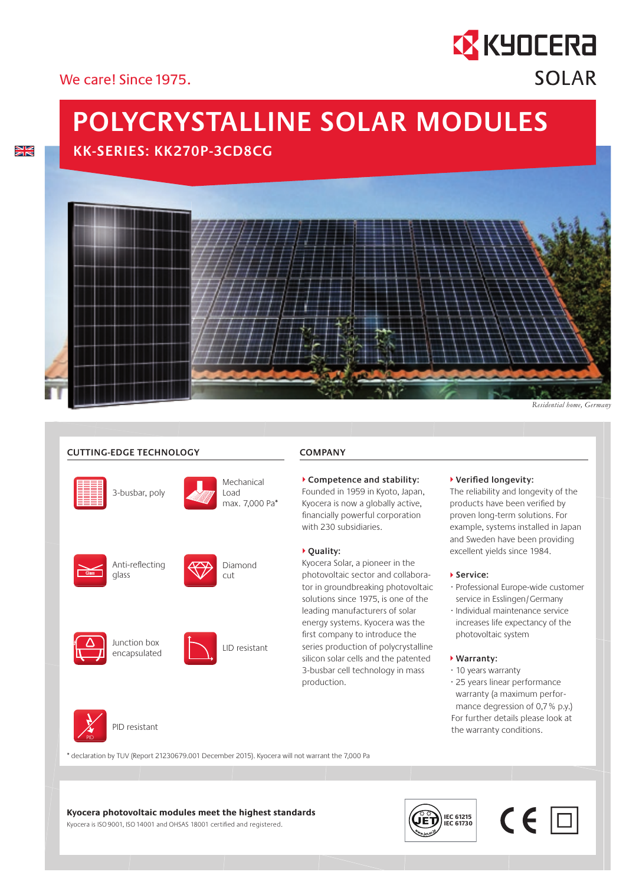#### We carel Since 1975

# **POLYCRYSTALLINE SOLAR MODULES**

### **KK-SERIES: KK270P-3CD8CG**



*Residential home, Germany*

#### **CUTTING-EDGE TECHNOLOGY**

3-busbar, poly



Mechanical Load max. 7,000 Pa\*

Glass





Diamond



PID





#### ▶ **Quality:**

with 230 subsidiaries.

**COMPANY**

Kyocera Solar, a pioneer in the photovoltaic sector and collaborator in groundbreaking photovoltaic solutions since 1975, is one of the leading manufacturers of solar energy systems. Kyocera was the first company to introduce the series production of polycrystalline silicon solar cells and the patented 3-busbar cell technology in mass production.

 **Competence and stability:** Founded in 1959 in Kyoto, Japan, Kyocera is now a globally active, financially powerful corporation

#### **Verified longevity:**

The reliability and longevity of the products have been verified by proven long-term solutions. For example, systems installed in Japan and Sweden have been providing excellent yields since 1984.

#### **Service:**

- · Professional Europe-wide customer service in Esslingen/Germany
- · Individual maintenance service increases life expectancy of the photovoltaic system

#### **Warranty:**

- · 10 years warranty
- · 25 years linear performance warranty (a maximum perfor mance degression of 0,7 % p.y.) For further details please look at the warranty conditions.

PID resistant

\* declaration by TUV (Report 21230679.001 December 2015). Kyocera will not warrant the 7,000 Pa

#### **Kyocera photovoltaic modules meet the highest standards**

Kyocera is ISO 9001, ISO 14001 and OHSAS 18001 certified and registered.